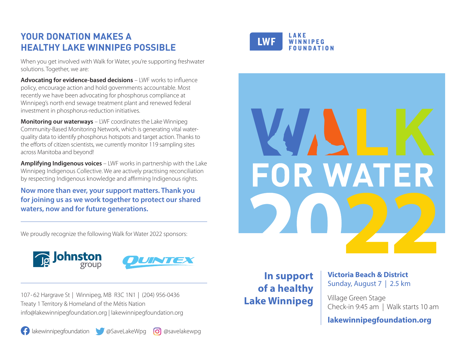## **YOUR DONATION MAKES A HEALTHY LAKE WINNIPEG POSSIBLE**

When you get involved with Walk for Water, you're supporting freshwater solutions. Together, we are:

**Advocating for evidence-based decisions** – LWF works to influence policy, encourage action and hold governments accountable. Most recently we have been advocating for phosphorus compliance at Winnipeg's north end sewage treatment plant and renewed federal investment in phosphorus-reduction initiatives.

**Monitoring our waterways** – LWF coordinates the Lake Winnipeg Community-Based Monitoring Network, which is generating vital waterquality data to identify phosphorus hotspots and target action. Thanks to the efforts of citizen scientists, we currently monitor 119 sampling sites across Manitoba and beyond!

**Amplifying Indigenous voices** – LWF works in partnership with the Lake Winnipeg Indigenous Collective. We are actively practising reconciliation by respecting Indigenous knowledge and affirming Indigenous rights.

**Now more than ever, your support matters. Thank you for joining us as we work together to protect our shared waters, now and for future generations.**

We proudly recognize the following Walk for Water 2022 sponsors:



107- 62 Hargrave St | Winnipeg, MB R3C 1N1 | (204) 956-0436 Treaty 1 Territory & Homeland of the Métis Nation info@lakewinnipegfoundation.org | lakewinnipegfoundation.org

**1** lakewinnipegfoundation **6** @SaveLakeWpg **@Savelakewpg** 







**In support of a healthy Lake Winnipeg**

**Victoria Beach & District** Sunday, August 7 | 2.5 km

Village Green Stage Check-in 9:45 am | Walk starts 10 am

**lakewinnipegfoundation.org**